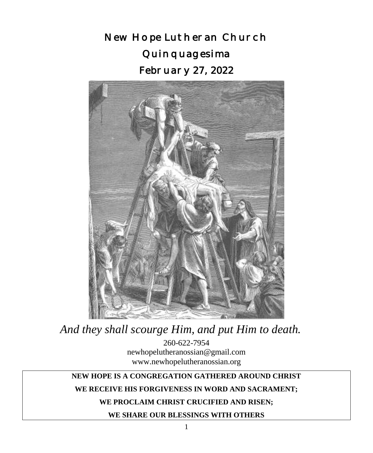New Hope Lutheran Church Quinquagesima February 27, 2022



260-622-7954 newhopelutheranossian@gmail.com *And they shall scourge Him, and put Him to death.*

www.newhopelutheranossian.org

## **NEW HOPE IS A CONGREGATION GATHERED AROUND CHRIST**

## **WE RECEIVE HIS FORGIVENESS IN WORD AND SACRAMENT;**

## **WE PROCLAIM CHRIST CRUCIFIED AND RISEN;**

**WE SHARE OUR BLESSINGS WITH OTHERS**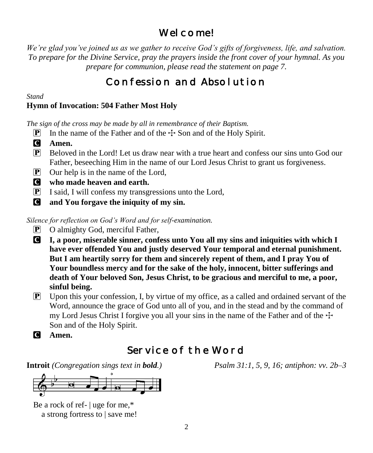# Wel come!

*We're glad you've joined us as we gather to receive God's gifts of forgiveness, life, and salvation. To prepare for the Divine Service, pray the prayers inside the front cover of your hymnal. As you prepare for communion, please read the statement on page 7.*

# Confession and Absolution

*Stand*

# **Hymn of Invocation: 504 Father Most Holy**

*The sign of the cross may be made by all in remembrance of their Baptism.*

- **P** In the name of the Father and of the  $\pm$  Son and of the Holy Spirit.
- C **Amen.**
- P Beloved in the Lord! Let us draw near with a true heart and confess our sins unto God our Father, beseeching Him in the name of our Lord Jesus Christ to grant us forgiveness.
- P Our help is in the name of the Lord,
- C **who made heaven and earth.**
- $\boxed{\mathbf{P}}$  I said, I will confess my transgressions unto the Lord,
- C **and You forgave the iniquity of my sin.**

*Silence for reflection on God's Word and for self-examination.*

- P O almighty God, merciful Father,
- C **I, a poor, miserable sinner, confess unto You all my sins and iniquities with which I have ever offended You and justly deserved Your temporal and eternal punishment. But I am heartily sorry for them and sincerely repent of them, and I pray You of Your boundless mercy and for the sake of the holy, innocent, bitter sufferings and death of Your beloved Son, Jesus Christ, to be gracious and merciful to me, a poor, sinful being.**
- P Upon this your confession, I, by virtue of my office, as a called and ordained servant of the Word, announce the grace of God unto all of you, and in the stead and by the command of my Lord Jesus Christ I forgive you all your sins in the name of the Father and of the  $\pm$ Son and of the Holy Spirit.
- C **Amen.**

# Service of the Word

**Introit** *(Congregation sings text in bold.) Psalm 31:1, 5, 9, 16; antiphon: vv. 2b–3*



Be a rock of ref- | uge for me,\* a strong fortress to | save me!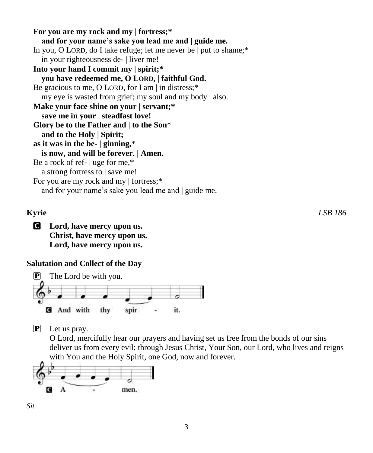**For you are my rock and my | fortress;\* and for your name's sake you lead me and | guide me.** In you, O LORD, do I take refuge; let me never be | put to shame;\* in your righteousness de- | liver me! **Into your hand I commit my | spirit;\* you have redeemed me, O LORD, | faithful God.** Be gracious to me, O LORD, for I am | in distress;\* my eye is wasted from grief; my soul and my body | also. **Make your face shine on your | servant;\* save me in your | steadfast love! Glory be to the Father and | to the Son**\* **and to the Holy | Spirit; as it was in the be- | ginning,**\* **is now, and will be forever. | Amen.** Be a rock of ref- | uge for me,\* a strong fortress to | save me! For you are my rock and my | fortress;\* and for your name's sake you lead me and | guide me.

C **Lord, have mercy upon us. Christ, have mercy upon us. Lord, have mercy upon us.**

## **Salutation and Collect of the Day**



P Let us pray.

O Lord, mercifully hear our prayers and having set us free from the bonds of our sins deliver us from every evil; through Jesus Christ, Your Son, our Lord, who lives and reigns with You and the Holy Spirit, one God, now and forever.



*Sit*

**Kyrie** *LSB 186*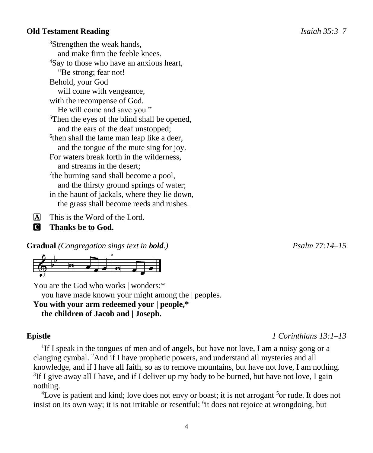#### **Old Testament Reading** *Isaiah 35:3–7*

<sup>3</sup>Strengthen the weak hands, and make firm the feeble knees. <sup>4</sup>Say to those who have an anxious heart, "Be strong; fear not! Behold, your God will come with vengeance, with the recompense of God. He will come and save you." <sup>5</sup>Then the eyes of the blind shall be opened, and the ears of the deaf unstopped; 6 then shall the lame man leap like a deer, and the tongue of the mute sing for joy. For waters break forth in the wilderness, and streams in the desert; <sup>7</sup>the burning sand shall become a pool, and the thirsty ground springs of water; in the haunt of jackals, where they lie down, the grass shall become reeds and rushes.

A This is the Word of the Lord.

C **Thanks be to God.**

**Gradual** *(Congregation sings text in bold.) Psalm 77:14–15*



You are the God who works | wonders;\* you have made known your might among the | peoples. **You with your arm redeemed your | people,\* the children of Jacob and | Joseph.**

<sup>1</sup>If I speak in the tongues of men and of angels, but have not love, I am a noisy gong or a clanging cymbal. <sup>2</sup>And if I have prophetic powers, and understand all mysteries and all knowledge, and if I have all faith, so as to remove mountains, but have not love, I am nothing.  ${}^{3}$ If I give away all I have, and if I deliver up my body to be burned, but have not love, I gain nothing.

<sup>4</sup>Love is patient and kind; love does not envy or boast; it is not arrogant <sup>5</sup> or rude. It does not insist on its own way; it is not irritable or resentful; <sup>6</sup>it does not rejoice at wrongdoing, but

**Epistle** *1 Corinthians 13:1–13*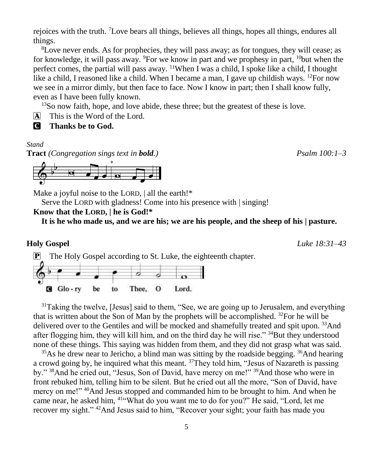rejoices with the truth. <sup>7</sup>Love bears all things, believes all things, hopes all things, endures all things.

<sup>8</sup>Love never ends. As for prophecies, they will pass away; as for tongues, they will cease; as for knowledge, it will pass away. <sup>9</sup>For we know in part and we prophesy in part,  $10$ but when the perfect comes, the partial will pass away.  $\frac{11}{10}$ When I was a child, I spoke like a child, I thought like a child, I reasoned like a child. When I became a man, I gave up childish ways. <sup>12</sup>For now we see in a mirror dimly, but then face to face. Now I know in part; then I shall know fully, even as I have been fully known.

<sup>13</sup>So now faith, hope, and love abide, these three; but the greatest of these is love.

- A This is the Word of the Lord.
- C **Thanks be to God.**

#### *Stand*

**Tract** *(Congregation sings text in bold.) Psalm 100:1–3*



Make a joyful noise to the LORD, | all the earth!\*

Serve the LORD with gladness! Come into his presence with | singing!

 $\mathbf{P}$  The Holy Gospel according to St. Luke, the eighteenth chapter.

## **Know that the LORD, | he is God!\***

**It is he who made us, and we are his; we are his people, and the sheep of his | pasture.**

 $G$  Glo-ry Thee, O Lord. be to  $31$ Taking the twelve, [Jesus] said to them, "See, we are going up to Jerusalem, and everything that is written about the Son of Man by the prophets will be accomplished.  $32$ For he will be delivered over to the Gentiles and will be mocked and shamefully treated and spit upon. <sup>33</sup>And after flogging him, they will kill him, and on the third day he will rise."  $34$ But they understood

none of these things. This saying was hidden from them, and they did not grasp what was said.  $35\text{As}$  he drew near to Jericho, a blind man was sitting by the roadside begging.  $36\text{And}$  hearing a crowd going by, he inquired what this meant. <sup>37</sup>They told him, "Jesus of Nazareth is passing by." <sup>38</sup>And he cried out, "Jesus, Son of David, have mercy on me!" <sup>39</sup>And those who were in front rebuked him, telling him to be silent. But he cried out all the more, "Son of David, have mercy on me!" <sup>40</sup>And Jesus stopped and commanded him to be brought to him. And when he came near, he asked him, <sup>41</sup>"What do you want me to do for you?" He said, "Lord, let me recover my sight." <sup>42</sup>And Jesus said to him, "Recover your sight; your faith has made you

**Holy Gospel** *Luke 18:31–43*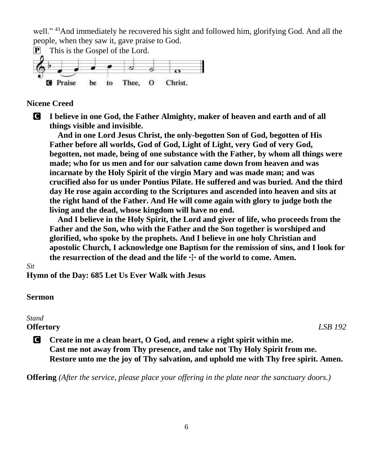well." <sup>43</sup>And immediately he recovered his sight and followed him, glorifying God. And all the people, when they saw it, gave praise to God.



#### **Nicene Creed**

C **I believe in one God, the Father Almighty, maker of heaven and earth and of all things visible and invisible.**

**And in one Lord Jesus Christ, the only-begotten Son of God, begotten of His Father before all worlds, God of God, Light of Light, very God of very God, begotten, not made, being of one substance with the Father, by whom all things were made; who for us men and for our salvation came down from heaven and was incarnate by the Holy Spirit of the virgin Mary and was made man; and was crucified also for us under Pontius Pilate. He suffered and was buried. And the third day He rose again according to the Scriptures and ascended into heaven and sits at the right hand of the Father. And He will come again with glory to judge both the living and the dead, whose kingdom will have no end.**

**And I believe in the Holy Spirit, the Lord and giver of life, who proceeds from the Father and the Son, who with the Father and the Son together is worshiped and glorified, who spoke by the prophets. And I believe in one holy Christian and apostolic Church, I acknowledge one Baptism for the remission of sins, and I look for**  the resurrection of the dead and the life  $+$  of the world to come. Amen.

#### *Sit*

**Hymn of the Day: 685 Let Us Ever Walk with Jesus**

#### **Sermon**

#### *Stand*

#### **Offertory** *LSB 192*

C **Create in me a clean heart, O God, and renew a right spirit within me. Cast me not away from Thy presence, and take not Thy Holy Spirit from me. Restore unto me the joy of Thy salvation, and uphold me with Thy free spirit. Amen.**

**Offering** *(After the service, please place your offering in the plate near the sanctuary doors.)*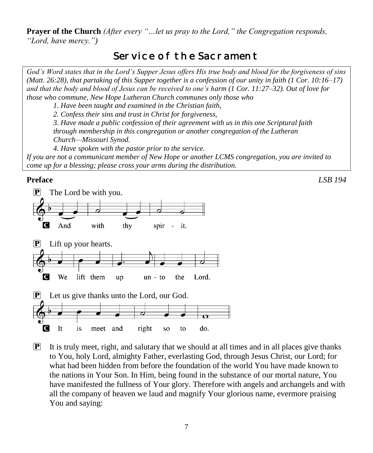**Prayer of the Church** *(After every "…let us pray to the Lord," the Congregation responds, "Lord, have mercy.")*

# Service of the Sacrament

*God's Word states that in the Lord's Supper Jesus offers His true body and blood for the forgiveness of sins (Matt. 26:28), that partaking of this Supper together is a confession of our unity in faith (1 Cor. 10:16–17) and that the body and blood of Jesus can be received to one's harm (1 Cor. 11:27–32). Out of love for those who commune, New Hope Lutheran Church communes only those who*

*1. Have been taught and examined in the Christian faith,* 

*2. Confess their sins and trust in Christ for forgiveness,* 

*3. Have made a public confession of their agreement with us in this one Scriptural faith through membership in this congregation or another congregation of the Lutheran Church—Missouri Synod.* 

*4. Have spoken with the pastor prior to the service.*

*If you are not a communicant member of New Hope or another LCMS congregation, you are invited to come up for a blessing; please cross your arms during the distribution.*

## **Preface** *LSB 194*



 $\mathbf{P}$  It is truly meet, right, and salutary that we should at all times and in all places give thanks to You, holy Lord, almighty Father, everlasting God, through Jesus Christ, our Lord; for what had been hidden from before the foundation of the world You have made known to the nations in Your Son. In Him, being found in the substance of our mortal nature, You have manifested the fullness of Your glory. Therefore with angels and archangels and with all the company of heaven we laud and magnify Your glorious name, evermore praising You and saying: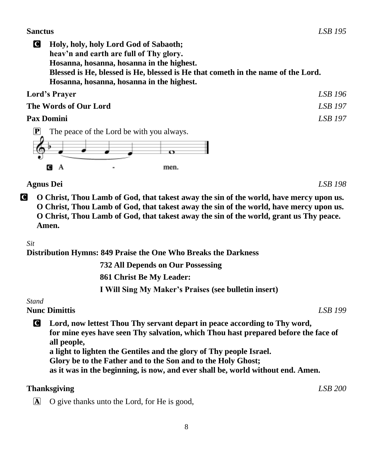#### **Sanctus** *LSB 195*

C **Holy, holy, holy Lord God of Sabaoth; heav'n and earth are full of Thy glory. Hosanna, hosanna, hosanna in the highest. Blessed is He, blessed is He, blessed is He that cometh in the name of the Lord. Hosanna, hosanna, hosanna in the highest.**

| Lord's Prayer         | LSB 196        |
|-----------------------|----------------|
| The Words of Our Lord | <b>LSB</b> 197 |
| <b>Pax Domini</b>     | <b>LSB</b> 197 |



## **Agnus Dei** *LSB 198*

C **O Christ, Thou Lamb of God, that takest away the sin of the world, have mercy upon us. O Christ, Thou Lamb of God, that takest away the sin of the world, have mercy upon us. O Christ, Thou Lamb of God, that takest away the sin of the world, grant us Thy peace. Amen.**

## *Sit*

**Distribution Hymns: 849 Praise the One Who Breaks the Darkness**

 **732 All Depends on Our Possessing 861 Christ Be My Leader: I Will Sing My Maker's Praises (see bulletin insert)**

#### *Stand*

**Nunc Dimittis** *LSB 199*

C **Lord, now lettest Thou Thy servant depart in peace according to Thy word, for mine eyes have seen Thy salvation, which Thou hast prepared before the face of all people,**

**a light to lighten the Gentiles and the glory of Thy people Israel.**

**Glory be to the Father and to the Son and to the Holy Ghost;**

**as it was in the beginning, is now, and ever shall be, world without end. Amen.**

## **Thanksgiving** *LSB 200*

A O give thanks unto the Lord, for He is good,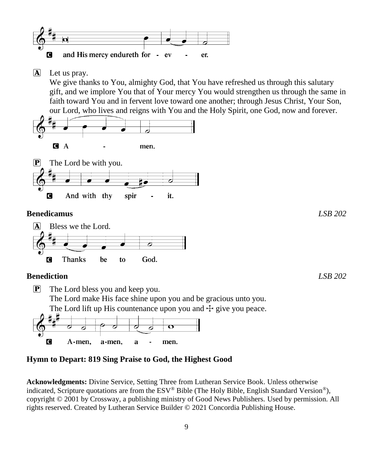

 $\mathbf{\overline{A}}$  Let us pray.

We give thanks to You, almighty God, that You have refreshed us through this salutary gift, and we implore You that of Your mercy You would strengthen us through the same in faith toward You and in fervent love toward one another; through Jesus Christ, Your Son, our Lord, who lives and reigns with You and the Holy Spirit, one God, now and forever.





#### **Benedicamus** *LSB 202*



#### **Benediction** *LSB 202*

P The Lord bless you and keep you. The Lord make His face shine upon you and be gracious unto you. The Lord lift up His countenance upon you and  $\pm$  give you peace. ठ C A-men,

men.

## **Hymn to Depart: 819 Sing Praise to God, the Highest Good**

 $\mathbf a$ 

a-men,

**Acknowledgments:** Divine Service, Setting Three from Lutheran Service Book. Unless otherwise indicated, Scripture quotations are from the ESV® Bible (The Holy Bible, English Standard Version®), copyright © 2001 by Crossway, a publishing ministry of Good News Publishers. Used by permission. All rights reserved. Created by Lutheran Service Builder © 2021 Concordia Publishing House.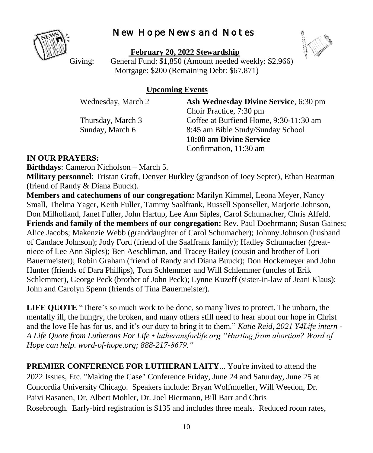# New Hope News and Notes



**February 20, 2022 Stewardship**

Giving: General Fund: \$1,850 (Amount needed weekly: \$2,966) Mortgage: \$200 (Remaining Debt: \$67,871)

# **Upcoming Events**

Wednesday, March 2 **Ash Wednesday Divine Service**, 6:30 pm Choir Practice, 7:30 pm Thursday, March 3 Coffee at Burfiend Home, 9:30-11:30 am Sunday, March 6 8:45 am Bible Study/Sunday School **10:00 am Divine Service** Confirmation, 11:30 am

# **IN OUR PRAYERS:**

**Birthdays**: Cameron Nicholson – March 5.

**Military personnel**: Tristan Graft, Denver Burkley (grandson of Joey Septer), Ethan Bearman (friend of Randy & Diana Buuck).

**Members and catechumens of our congregation:** Marilyn Kimmel, Leona Meyer, Nancy Small, Thelma Yager, Keith Fuller, Tammy Saalfrank, Russell Sponseller, Marjorie Johnson, Don Milholland, Janet Fuller, John Hartup, Lee Ann Siples, Carol Schumacher, Chris Alfeld. **Friends and family of the members of our congregation:** Rev. Paul Doehrmann; Susan Gaines; Alice Jacobs; Makenzie Webb (granddaughter of Carol Schumacher); Johnny Johnson (husband of Candace Johnson); Jody Ford (friend of the Saalfrank family); Hadley Schumacher (greatniece of Lee Ann Siples); Ben Aeschliman, and Tracey Bailey (cousin and brother of Lori Bauermeister); Robin Graham (friend of Randy and Diana Buuck); Don Hockemeyer and John Hunter (friends of Dara Phillips), Tom Schlemmer and Will Schlemmer (uncles of Erik Schlemmer), George Peck (brother of John Peck); Lynne Kuzeff (sister-in-law of Jeani Klaus); John and Carolyn Spenn (friends of Tina Bauermeister).

**LIFE QUOTE** "There's so much work to be done, so many lives to protect. The unborn, the mentally ill, the hungry, the broken, and many others still need to hear about our hope in Christ and the love He has for us, and it's our duty to bring it to them." *Katie Reid, 2021 Y4Life intern* - *A Life Quote from Lutherans For Life • lutheransforlife.org "Hurting from abortion? Word of Hope can help. [word-of-hope.org;](https://word-of-hope.org/) 888-217-8679."*

**PREMIER CONFERENCE FOR LUTHERAN LAITY...** You're invited to attend the 2022 Issues, Etc. "Making the Case" Conference Friday, June 24 and Saturday, June 25 at Concordia University Chicago. Speakers include: Bryan Wolfmueller, Will Weedon, Dr. Paivi Rasanen, Dr. Albert Mohler, Dr. Joel Biermann, Bill Barr and Chris Rosebrough. Early-bird registration is \$135 and includes three meals. Reduced room rates,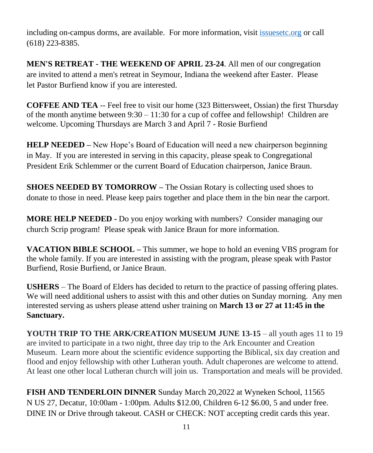including on-campus dorms, are available. For more information, visit [issuesetc.org](https://r20.rs6.net/tn.jsp?f=001euVFadQYlcqFiWhNUjuBbHDmQt8zr5LGpqJOcLv4QfFxYfmz4IzpW9kQiozbqP7syCQO2oCzsyztEbkKm8bVvaaPXiIjldQ_yas1ukD2ts2H0PQi4aQvfhXbzpttXfxWoUQb2-KbSC90tXVYSQxNjQ==&c=LRpREN2vtUelZtY1CHzz_oytM671LfaiHMh8a0E8a2H4Lst8uHALhQ==&ch=ez5PS-pzAEDlkyvIKHLvGSu-gTy7UOzK6LklBsmfJD5SWaW-5-8Yfg==) or call (618) 223-8385.

**MEN'S RETREAT - THE WEEKEND OF APRIL 23-24**. All men of our congregation are invited to attend a men's retreat in Seymour, Indiana the weekend after Easter. Please let Pastor Burfiend know if you are interested.

**COFFEE AND TEA** -- Feel free to visit our home (323 Bittersweet, Ossian) the first Thursday of the month anytime between  $9:30 - 11:30$  for a cup of coffee and fellowship! Children are welcome. Upcoming Thursdays are March 3 and April 7 - Rosie Burfiend

**HELP NEEDED –** New Hope's Board of Education will need a new chairperson beginning in May. If you are interested in serving in this capacity, please speak to Congregational President Erik Schlemmer or the current Board of Education chairperson, Janice Braun.

**SHOES NEEDED BY TOMORROW –** The Ossian Rotary is collecting used shoes to donate to those in need. Please keep pairs together and place them in the bin near the carport.

**MORE HELP NEEDED -** Do you enjoy working with numbers? Consider managing our church Scrip program! Please speak with Janice Braun for more information.

**VACATION BIBLE SCHOOL –** This summer, we hope to hold an evening VBS program for the whole family. If you are interested in assisting with the program, please speak with Pastor Burfiend, Rosie Burfiend, or Janice Braun.

**USHERS** – The Board of Elders has decided to return to the practice of passing offering plates. We will need additional ushers to assist with this and other duties on Sunday morning. Any men interested serving as ushers please attend usher training on **March 13 or 27 at 11:45 in the Sanctuary.**

**YOUTH TRIP TO THE ARK/CREATION MUSEUM JUNE 13-15** – all youth ages 11 to 19 are invited to participate in a two night, three day trip to the Ark Encounter and Creation Museum. Learn more about the scientific evidence supporting the Biblical, six day creation and flood and enjoy fellowship with other Lutheran youth. Adult chaperones are welcome to attend. At least one other local Lutheran church will join us. Transportation and meals will be provided.

**FISH AND TENDERLOIN DINNER** Sunday March 20,2022 at Wyneken School, 11565 N US 27, Decatur, 10:00am - 1:00pm. Adults \$12.00, Children 6-12 \$6.00, 5 and under free. DINE IN or Drive through takeout. CASH or CHECK: NOT accepting credit cards this year.